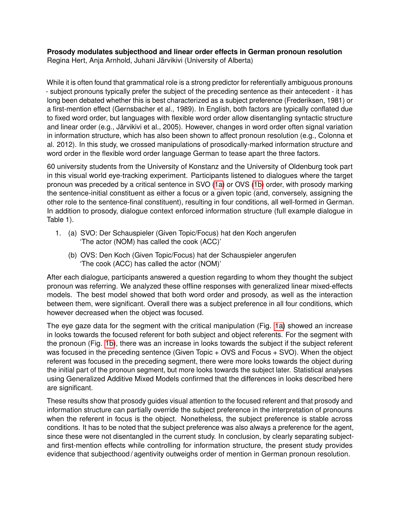**Prosody modulates subjecthood and linear order effects in German pronoun resolution** Regina Hert, Anja Arnhold, Juhani Järvikivi (University of Alberta)

While it is often found that grammatical role is a strong predictor for referentially ambiguous pronouns - subject pronouns typically prefer the subject of the preceding sentence as their antecedent - it has long been debated whether this is best characterized as a subject preference (Frederiksen, 1981) or a first-mention effect (Gernsbacher et al., 1989). In English, both factors are typically conflated due to fixed word order, but languages with flexible word order allow disentangling syntactic structure and linear order (e.g., Järvikivi et al., 2005). However, changes in word order often signal variation in information structure, which has also been shown to affect pronoun resolution (e.g., Colonna et al. 2012). In this study, we crossed manipulations of prosodically-marked information structure and word order in the flexible word order language German to tease apart the three factors.

60 university students from the University of Konstanz and the University of Oldenburg took part in this visual world eye-tracking experiment. Participants listened to dialogues where the target pronoun was preceded by a critical sentence in SVO (1a) or OVS (1b) order, with prosody marking the sentence-initial constituent as either a focus or a given topic (and, conversely, assigning the other role to the sentence-final constituent), resulting in four conditions, all well-formed in German. In addition to prosody, dialogue context enforced information structure (full example dialogue in Table 1).

- 1. (a) SVO: Der Schauspieler (Given Topic/Focus) hat den Koch angerufen 'The actor (NOM) has called the cook (ACC)'
	- (b) OVS: Den Koch (Given Topic/Focus) hat der Schauspieler angerufen 'The cook (ACC) has called the actor (NOM)'

After each dialogue, participants answered a question regarding to whom they thought the subject pronoun was referring. We analyzed these offline responses with generalized linear mixed-effects models. The best model showed that both word order and prosody, as well as the interaction between them, were significant. Overall there was a subject preference in all four conditions, which however decreased when the object was focused.

The eye gaze data for the segment with the critical manipulation (Fig. 1a) showed an increase in looks towards the focused referent for both subject and object referents. For the segment with the pronoun (Fig. 1b), there was an increase in looks towards the subject if the subject referent was focused in the preceding sentence (Given Topic + OVS and Focus + SVO). When the object referent was focused in the preceding segment, there were more looks towards the object during the initial part of the pronoun segment, but more looks towards the subject later. Statistical analyses using Generalized Additive Mixed Models confirmed that the differences in looks described here are significant.

These results show that prosody guides visual attention to the focused referent and that prosody and information structure can partially override the subject preference in the interpretation of pronouns when the referent in focus is the object. Nonetheless, the subject preference is stable across conditions. It has to be noted that the subject preference was also always a preference for the agent, since these were not disentangled in the current study. In conclusion, by clearly separating subjectand first-mention effects while controlling for information structure, the present study provides evidence that subjecthood / agentivity outweighs order of mention in German pronoun resolution.